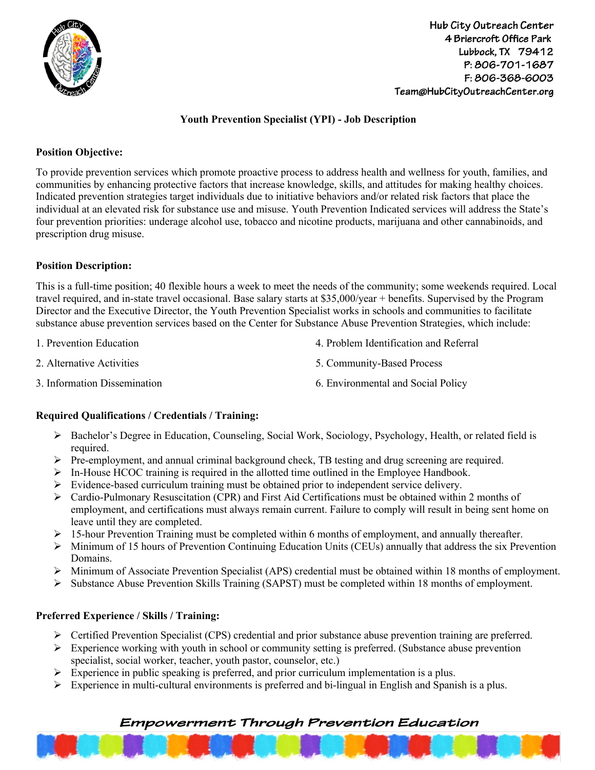

# **Youth Prevention Specialist (YPI) - Job Description**

#### **Position Objective:**

To provide prevention services which promote proactive process to address health and wellness for youth, families, and communities by enhancing protective factors that increase knowledge, skills, and attitudes for making healthy choices. Indicated prevention strategies target individuals due to initiative behaviors and/or related risk factors that place the individual at an elevated risk for substance use and misuse. Youth Prevention Indicated services will address the State's four prevention priorities: underage alcohol use, tobacco and nicotine products, marijuana and other cannabinoids, and prescription drug misuse.

#### **Position Description:**

This is a full-time position; 40 flexible hours a week to meet the needs of the community; some weekends required. Local travel required, and in-state travel occasional. Base salary starts at \$35,000/year + benefits. Supervised by the Program Director and the Executive Director, the Youth Prevention Specialist works in schools and communities to facilitate substance abuse prevention services based on the Center for Substance Abuse Prevention Strategies, which include:

2. Alternative Activities

3. Information Dissemination

- 4. Problem Identification and Referral
- 5. Community-Based Process
- 6. Environmental and Social Policy

#### **Required Qualifications / Credentials / Training:**

- Ø Bachelor's Degree in Education, Counseling, Social Work, Sociology, Psychology, Health, or related field is required.
- Ø Pre-employment, and annual criminal background check, TB testing and drug screening are required.
- $\triangleright$  In-House HCOC training is required in the allotted time outlined in the Employee Handbook.
- $\triangleright$  Evidence-based curriculum training must be obtained prior to independent service delivery.
- Ø Cardio-Pulmonary Resuscitation (CPR) and First Aid Certifications must be obtained within 2 months of employment, and certifications must always remain current. Failure to comply will result in being sent home on leave until they are completed.
- $\triangleright$  15-hour Prevention Training must be completed within 6 months of employment, and annually thereafter.
- $\triangleright$  Minimum of 15 hours of Prevention Continuing Education Units (CEUs) annually that address the six Prevention Domains.
- Ø Minimum of Associate Prevention Specialist (APS) credential must be obtained within 18 months of employment.
- $\triangleright$  Substance Abuse Prevention Skills Training (SAPST) must be completed within 18 months of employment.

## **Preferred Experience / Skills / Training:**

- $\triangleright$  Certified Prevention Specialist (CPS) credential and prior substance abuse prevention training are preferred.
- $\triangleright$  Experience working with youth in school or community setting is preferred. (Substance abuse prevention specialist, social worker, teacher, youth pastor, counselor, etc.)
- $\triangleright$  Experience in public speaking is preferred, and prior curriculum implementation is a plus.
- $\triangleright$  Experience in multi-cultural environments is preferred and bi-lingual in English and Spanish is a plus.

# **Empowerment Through Prevention Education**